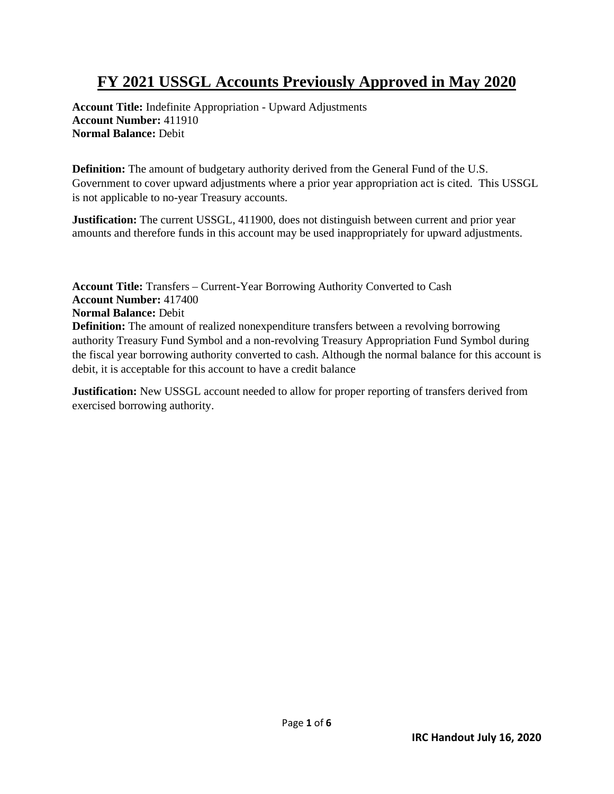## **FY 2021 USSGL Accounts Previously Approved in May 2020**

**Account Title:** Indefinite Appropriation - Upward Adjustments **Account Number:** 411910 **Normal Balance:** Debit

**Definition:** The amount of budgetary authority derived from the General Fund of the U.S. Government to cover upward adjustments where a prior year appropriation act is cited. This USSGL is not applicable to no-year Treasury accounts.

**Justification:** The current USSGL, 411900, does not distinguish between current and prior year amounts and therefore funds in this account may be used inappropriately for upward adjustments.

**Account Title:** Transfers – Current-Year Borrowing Authority Converted to Cash **Account Number:** 417400 **Normal Balance:** Debit **Definition:** The amount of realized nonexpenditure transfers between a revolving borrowing authority Treasury Fund Symbol and a non-revolving Treasury Appropriation Fund Symbol during the fiscal year borrowing authority converted to cash. Although the normal balance for this account is debit, it is acceptable for this account to have a credit balance

**Justification:** New USSGL account needed to allow for proper reporting of transfers derived from exercised borrowing authority.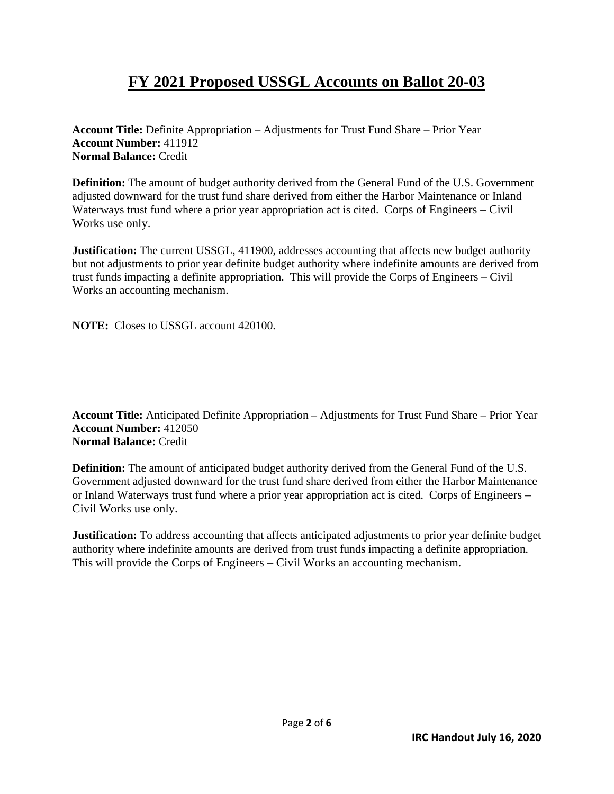## **FY 2021 Proposed USSGL Accounts on Ballot 20-03**

**Account Title:** Definite Appropriation – Adjustments for Trust Fund Share – Prior Year **Account Number:** 411912 **Normal Balance:** Credit

**Definition:** The amount of budget authority derived from the General Fund of the U.S. Government adjusted downward for the trust fund share derived from either the Harbor Maintenance or Inland Waterways trust fund where a prior year appropriation act is cited. Corps of Engineers – Civil Works use only.

**Justification:** The current USSGL, 411900, addresses accounting that affects new budget authority but not adjustments to prior year definite budget authority where indefinite amounts are derived from trust funds impacting a definite appropriation. This will provide the Corps of Engineers – Civil Works an accounting mechanism.

**NOTE:** Closes to USSGL account 420100.

**Account Title:** Anticipated Definite Appropriation – Adjustments for Trust Fund Share – Prior Year **Account Number:** 412050 **Normal Balance:** Credit

**Definition:** The amount of anticipated budget authority derived from the General Fund of the U.S. Government adjusted downward for the trust fund share derived from either the Harbor Maintenance or Inland Waterways trust fund where a prior year appropriation act is cited. Corps of Engineers – Civil Works use only.

**Justification:** To address accounting that affects anticipated adjustments to prior year definite budget authority where indefinite amounts are derived from trust funds impacting a definite appropriation. This will provide the Corps of Engineers – Civil Works an accounting mechanism.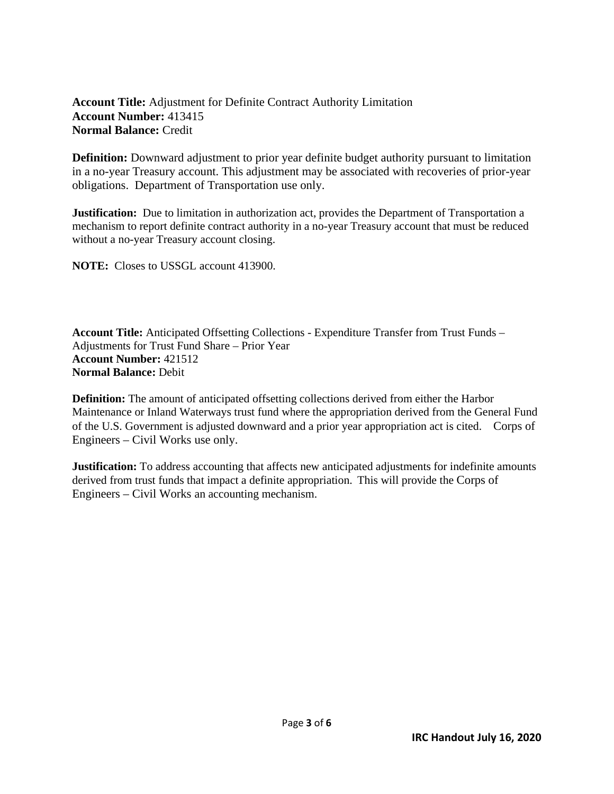## **Account Title:** Adjustment for Definite Contract Authority Limitation **Account Number:** 413415 **Normal Balance:** Credit

**Definition:** Downward adjustment to prior year definite budget authority pursuant to limitation in a no-year Treasury account. This adjustment may be associated with recoveries of prior-year obligations. Department of Transportation use only.

**Justification:** Due to limitation in authorization act, provides the Department of Transportation a mechanism to report definite contract authority in a no-year Treasury account that must be reduced without a no-year Treasury account closing.

**NOTE:** Closes to USSGL account 413900.

**Account Title:** Anticipated Offsetting Collections - Expenditure Transfer from Trust Funds – Adjustments for Trust Fund Share – Prior Year **Account Number:** 421512 **Normal Balance:** Debit

**Definition:** The amount of anticipated offsetting collections derived from either the Harbor Maintenance or Inland Waterways trust fund where the appropriation derived from the General Fund of the U.S. Government is adjusted downward and a prior year appropriation act is cited. Corps of Engineers – Civil Works use only.

**Justification:** To address accounting that affects new anticipated adjustments for indefinite amounts derived from trust funds that impact a definite appropriation. This will provide the Corps of Engineers – Civil Works an accounting mechanism.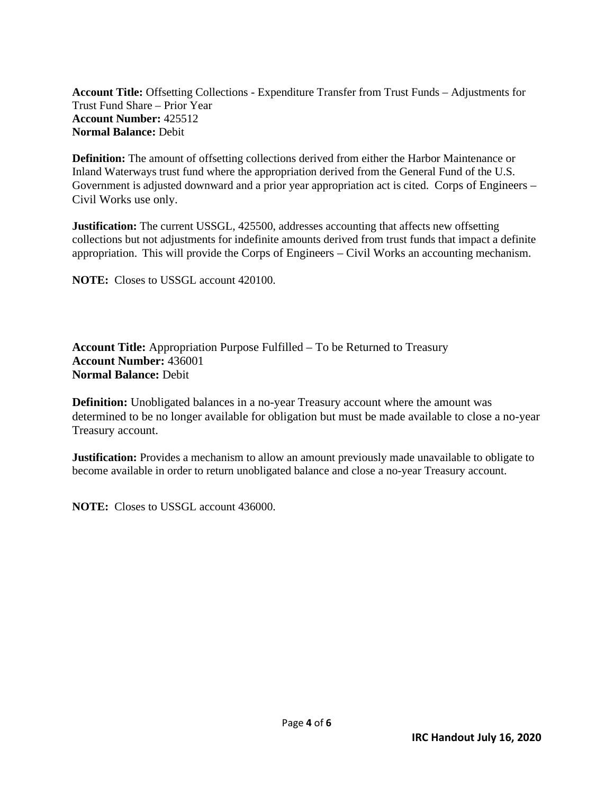**Account Title:** Offsetting Collections - Expenditure Transfer from Trust Funds – Adjustments for Trust Fund Share – Prior Year **Account Number:** 425512 **Normal Balance:** Debit

**Definition:** The amount of offsetting collections derived from either the Harbor Maintenance or Inland Waterways trust fund where the appropriation derived from the General Fund of the U.S. Government is adjusted downward and a prior year appropriation act is cited. Corps of Engineers – Civil Works use only.

**Justification:** The current USSGL, 425500, addresses accounting that affects new offsetting collections but not adjustments for indefinite amounts derived from trust funds that impact a definite appropriation. This will provide the Corps of Engineers – Civil Works an accounting mechanism.

**NOTE:** Closes to USSGL account 420100.

**Account Title:** Appropriation Purpose Fulfilled – To be Returned to Treasury **Account Number:** 436001 **Normal Balance:** Debit

**Definition:** Unobligated balances in a no-year Treasury account where the amount was determined to be no longer available for obligation but must be made available to close a no-year Treasury account.

**Justification:** Provides a mechanism to allow an amount previously made unavailable to obligate to become available in order to return unobligated balance and close a no-year Treasury account.

**NOTE:** Closes to USSGL account 436000.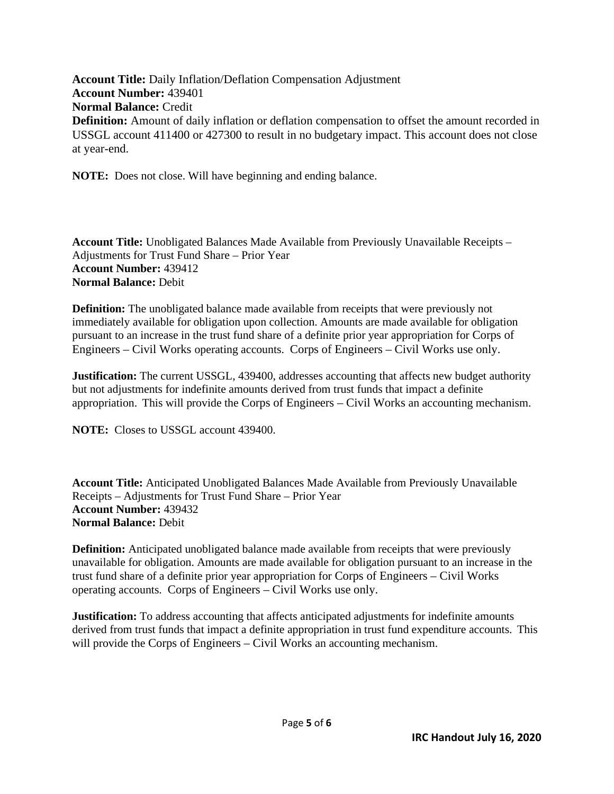**Account Title:** Daily Inflation/Deflation Compensation Adjustment **Account Number:** 439401 **Normal Balance:** Credit **Definition:** Amount of daily inflation or deflation compensation to offset the amount recorded in USSGL account 411400 or 427300 to result in no budgetary impact. This account does not close at year-end.

**NOTE:** Does not close. Will have beginning and ending balance.

**Account Title:** Unobligated Balances Made Available from Previously Unavailable Receipts – Adjustments for Trust Fund Share – Prior Year **Account Number:** 439412 **Normal Balance:** Debit

**Definition:** The unobligated balance made available from receipts that were previously not immediately available for obligation upon collection. Amounts are made available for obligation pursuant to an increase in the trust fund share of a definite prior year appropriation for Corps of Engineers – Civil Works operating accounts. Corps of Engineers – Civil Works use only.

**Justification:** The current USSGL, 439400, addresses accounting that affects new budget authority but not adjustments for indefinite amounts derived from trust funds that impact a definite appropriation. This will provide the Corps of Engineers – Civil Works an accounting mechanism.

**NOTE:** Closes to USSGL account 439400.

**Account Title:** Anticipated Unobligated Balances Made Available from Previously Unavailable Receipts – Adjustments for Trust Fund Share – Prior Year **Account Number:** 439432 **Normal Balance:** Debit

**Definition:** Anticipated unobligated balance made available from receipts that were previously unavailable for obligation. Amounts are made available for obligation pursuant to an increase in the trust fund share of a definite prior year appropriation for Corps of Engineers – Civil Works operating accounts. Corps of Engineers – Civil Works use only.

**Justification:** To address accounting that affects anticipated adjustments for indefinite amounts derived from trust funds that impact a definite appropriation in trust fund expenditure accounts. This will provide the Corps of Engineers – Civil Works an accounting mechanism.